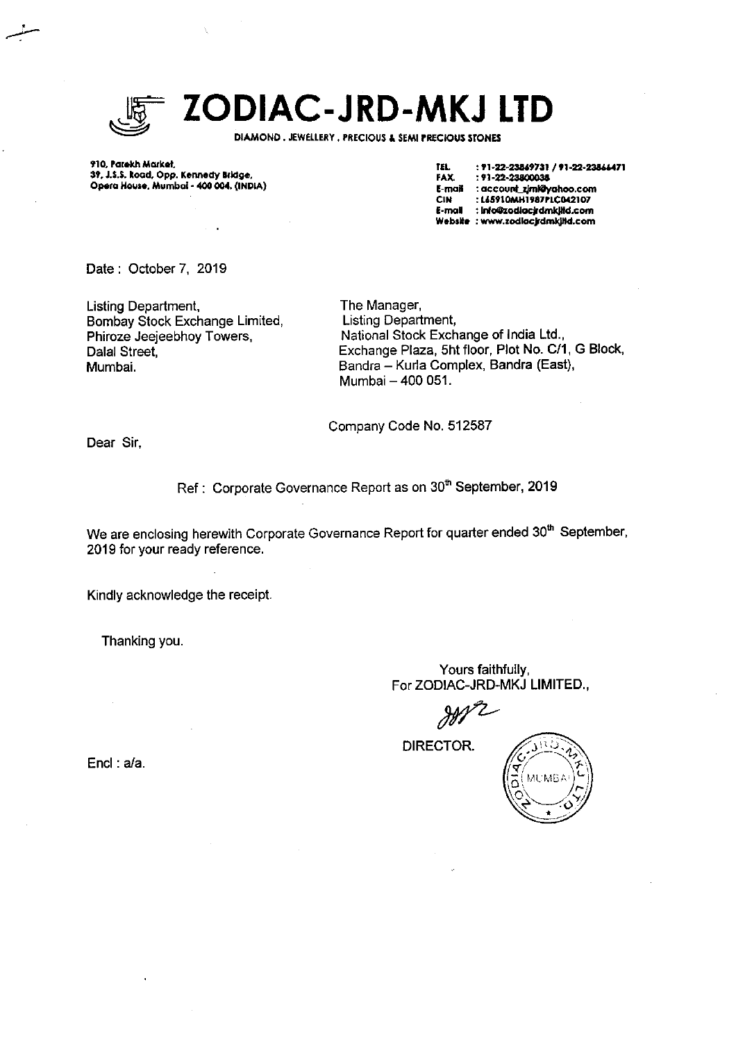

# ZODIAC-JRD-MKJ LTD

DIAMOND. JEWELLERY, PRECIOUS & SEMI PRECIOUS STONES

910, Parekh Market, 39, J.S.S. Road, Opp. Kennedy Bridge, Opera House, Mumbai - 400 004. (INDIA)

TEL. : 71-22-23869731 / 71-22-23866471 : 91-22-23800038 **FAX.** E-mail : account\_ziml@yahoo.com : L&5910MH1987PLC042107 **CIN** E-mail : info@zodiacjrdmkjild.com Website : www.zodlocjrdmkjitd.com

Date: October 7, 2019

**Listing Department,** Bombay Stock Exchange Limited, Phiroze Jeejeebhov Towers, Dalal Street. Mumbai.

The Manager, Listing Department, National Stock Exchange of India Ltd., Exchange Plaza, 5ht floor, Plot No. C/1, G Block, Bandra - Kurla Complex, Bandra (East), Mumbai - 400 051.

Company Code No. 512587

Dear Sir.

Ref: Corporate Governance Report as on 30<sup>th</sup> September, 2019

We are enclosing herewith Corporate Governance Report for quarter ended 30<sup>th</sup> September, 2019 for your ready reference.

Kindly acknowledge the receipt.

Thanking you.

Yours faithfully, For ZODIAC-JRD-MKJ LIMITED.,

DIRECTOR.

Encl:  $a/a$ .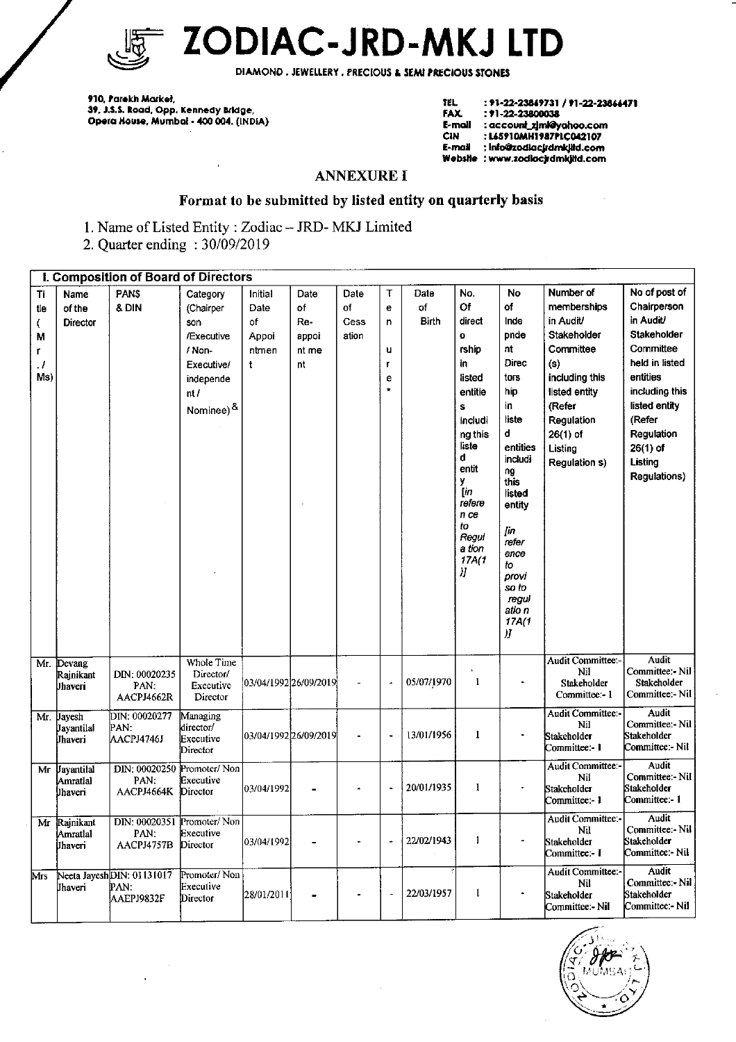

ZODIAC-JRD-MKJ LTD

DIAMOND. JEWELLERY. PRECIOUS & SEMI PRECIOUS STONES

910, Parekh Market,<br>39, J.S.S. Road, Opp. Kennedy Bridge,<br>Opera House, Mumbai - 400 004. (INDiA)

| IEL.    | : 91-22-23849731 / 91-22-23864471 |
|---------|-----------------------------------|
| FAX.    | : 91-22-23800038                  |
| E-moll  | : account_zimk@yahoo.com          |
| CIN     | : L65910MH1987PLC042107           |
| E-mail  | : info@zodiacjrdmkjitd.com        |
| Wabsile | : www.zodiacir.dmkiltd.com        |

## **ANNEXURE I**

# Format to be submitted by listed entity on quarterly basis

1. Name of Listed Entity: Zodiac -- JRD-MKJ Limited

2. Quarter ending: 30/09/2019

|                                        | I. Composition of Board of Directors     |                                                 |                                                                                                      |                                                         |                                           |                             |                                         |                     |                                                                                                                                                                                                       |                                                                                                                                                                                                                      |                                                                                                                                                                               |                                                                                                                                                                                                                |
|----------------------------------------|------------------------------------------|-------------------------------------------------|------------------------------------------------------------------------------------------------------|---------------------------------------------------------|-------------------------------------------|-----------------------------|-----------------------------------------|---------------------|-------------------------------------------------------------------------------------------------------------------------------------------------------------------------------------------------------|----------------------------------------------------------------------------------------------------------------------------------------------------------------------------------------------------------------------|-------------------------------------------------------------------------------------------------------------------------------------------------------------------------------|----------------------------------------------------------------------------------------------------------------------------------------------------------------------------------------------------------------|
| Ti<br>tie<br>€<br>М<br>L<br>. 1<br>Ms) | Name<br>of the<br><b>Director</b>        | PAN\$<br>& DIN                                  | Category<br>(Chairper<br>son<br>/Executive<br>/ Non-<br>Executive/<br>independe<br>nt/<br>Nominee) & | Initial<br>Date<br>оf<br>Appoi<br>ntmen<br>$\mathbf{t}$ | Date<br>of<br>Re-<br>appoi<br>nt me<br>nt | Date<br>of<br>Cess<br>ation | T<br>e<br>n<br>u<br>Г<br>e<br>$\bullet$ | Date<br>of<br>Birth | No.<br>Of<br>direct<br>$\ddot{\mathbf{o}}$<br>rship<br>in<br>listed<br>entitie<br>Ś<br>includi<br>ng this<br>liste<br>đ<br>entit<br>y<br>[in<br>refere<br>n ce<br>to<br>Regul<br>a tion<br>17A(1<br>Л | No<br>of<br>Inde<br>pnde<br>nt<br>Direc<br>tors<br>hip<br>in.<br>liste<br>d<br>entities<br>includi<br>ng<br>this<br>listed<br>entity<br>ſт<br>reter<br>ence<br>to<br>provi<br>so to<br>regul<br>atio n<br>17A(1<br>Л | Number of<br>memberships<br>in Audit/<br>Stakeholder<br>Committee<br>(s)<br>including this<br>listed entity<br>(Refer<br>Regulation<br>$26(1)$ of<br>Listing<br>Regulation s) | No of post of<br>Chairperson<br>in Audit/<br>Stakeholder<br>Committee<br>held in listed<br>entities<br>including this<br>listed entity<br>(Refer<br>Regulation<br>$26(1)$ of<br>Listing<br><b>Regulations)</b> |
| Mr.                                    | Devang<br>Rajnikant<br>Jhaveri           | DIN: 00020235<br>PAN.<br>AACPJ4662R             | Whole Time<br>Director/<br>Executive<br>Director                                                     | 03/04/1992 26/09/2019                                   |                                           |                             | ä,                                      | 05/07/1970          | ı                                                                                                                                                                                                     | $\blacksquare$                                                                                                                                                                                                       | <b>Audit Committee:-</b><br>Nil<br>Stakeholder<br>Committee:-1                                                                                                                | <b>Audit</b><br>Committee:- Nil<br>Stakeholder<br>Committee:- Nil                                                                                                                                              |
| Mr.                                    | Javesh<br>Jayantilal<br>Jhaveri          | DIN: 00020277<br>PAN.<br>AACPJ4746J             | Managing<br>director/<br>Executive<br>Director                                                       | 03/04/1992 26/09/2019                                   |                                           |                             | $\ddot{\phantom{0}}$                    | 13/01/1956          | $\mathbf{l}$                                                                                                                                                                                          | $\blacksquare$                                                                                                                                                                                                       | Audit Committee:-<br>Ni1<br>Stakeholder<br>Committee:- 1                                                                                                                      | <b>Audit</b><br>Committee:- Nil<br>Stakeholder<br>Committee - Nil                                                                                                                                              |
| Mr                                     | <b>Jayantilal</b><br>Amratlal<br>Uhaveri | DIN: 00020250<br>PAN:<br>AACPJ4664K             | Promoter/Non<br>Executive<br>Director                                                                | 03/04/1992                                              |                                           |                             | $\ddot{\phantom{0}}$                    | 20/01/1935          | 1                                                                                                                                                                                                     | ٠                                                                                                                                                                                                                    | Audit Committee.-<br>Nil<br>Stakeholder<br>Committee: 1                                                                                                                       | Audit<br>Committee:- Nil<br>Stakeholder<br>Committee:- 1                                                                                                                                                       |
| Mr                                     | Rajnikant<br>Amratlal<br>Jhaveri         | DIN: 00020351<br>PAN:<br>AACPJ4757B             | Promoter/Non<br>Executive<br>Director                                                                | 03/04/1992                                              |                                           |                             | ÷,                                      | 22/02/1943          | 1                                                                                                                                                                                                     | $\blacksquare$                                                                                                                                                                                                       | Audit Committee:<br>Nil<br>Stakeholder<br>Committee: 1                                                                                                                        | Audit<br>Committee:- Nil<br>Stakeholder<br>Committee: Nil                                                                                                                                                      |
| Mrs                                    | Jhaveri                                  | Neeta JayeshDIN: 01131017<br>PAN.<br>AAEPJ9832F | Promoter/Non<br>Executive<br>Director                                                                | 28/01/2011                                              |                                           |                             | ÷,                                      | 22/03/1957          | $\mathbf{1}$                                                                                                                                                                                          |                                                                                                                                                                                                                      | <b>Audit Committee:-</b><br>Nil<br>Stakeholder<br>Committee: Nil                                                                                                              | Audit<br>Committee:- Nil<br>Stakeholder<br>Committee: - Nil                                                                                                                                                    |

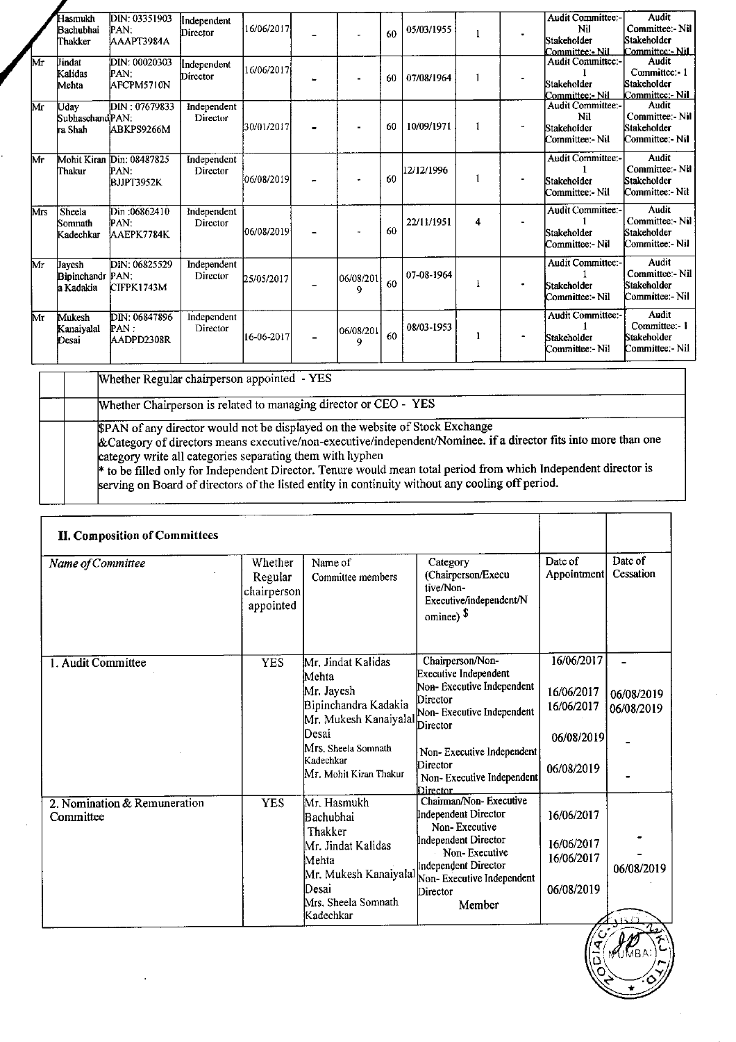|     | Hasmukh<br>Bachubhai<br>Thakker          | DIN: 03351903<br>PAN:<br>AAAPT3984A             | Independent<br>Director | 16/06/2017  |                | 60 | 05/03/1955 | 1 | Audit Committee:-<br>Nil<br>Stakeholder<br>Committee - Nil       | Audit<br>Committee:- Nil<br>Stakeholder<br>Committee: Nil         |
|-----|------------------------------------------|-------------------------------------------------|-------------------------|-------------|----------------|----|------------|---|------------------------------------------------------------------|-------------------------------------------------------------------|
| Mr  | Jindat<br>Kalidas<br>Mehta               | DIN: 00020303<br>PAN:<br>AFCPM5710N             | Independent<br>Director | 16/06/2017  |                | 60 | 07/08/1964 | 1 | Audit Committee:-<br>Stakeholder<br>Committee: Nil               | Audit<br>Committee: 1<br>Stakeholder<br>Committee: Nil            |
| Mr  | Udav<br>Subhaschand PAN:<br>ra Shah      | DIN: 07679833<br>ABKPS9266M                     | Independent<br>Director | 30/01/2017  |                | 60 | 10/09/1971 | 1 | <b>Audit Committee:-</b><br>Nil<br>Stakeholder<br>Committee: Nil | <b>Audit</b><br>Committee:- Nil<br>Stakeholder<br>Committee: Nil  |
| Mr  | Thakur                                   | Mohit Kiran Din: 08487825<br>PAN.<br>BJJPT3952K | Independent<br>Director | 06/08/2019  |                | 60 | 12/12/1996 | 1 | <b>Audit Committee:-</b><br>Stakeholder<br>Committee:- Nil       | <b>Audit</b><br>Committee:- Nil<br>Stakeholder<br>Committee:- Nil |
| Mrs | Sheela<br>Somnath<br>Kadechkar           | Din:06862410<br>PAN.<br>AAEPK7784K              | Independent<br>Director | 06/08/2019  |                | 60 | 22/11/1951 | 4 | Audit Committee:-<br>Stakeholder<br>Committee: Nil               | <b>Audit</b><br>Committee: Nil<br>Stakeholder<br>Committee: - Nil |
| Mr  | Jayesh<br>Bipinchandr PAN:<br>la Kadakia | DIN: 06825529<br>CIFPK1743M                     | Independent<br>Director | 25/05/2017  | 06/08/201<br>9 | 60 | 07-08-1964 |   | <b>Audit Committee:-</b><br>Stakeholder<br>Committee: - Nil      | Audit<br>Committee:- Nil<br>Stakeholder<br>Committee: - Nil       |
| Mr  | Mukesh<br>Kanaiyalal<br>Desai            | DIN: 06847896<br>PAN.<br>AADPD2308R             | Independent<br>Director | 116-06-2017 | 06/08/201<br>9 | 60 | 08/03-1953 | 1 | <b>Audit Committee:-</b><br>Stakeholder<br>Committee: - Nil      | Audit<br>Committee: 1<br>Stakeholder<br>Committee: - Nil          |
|     |                                          |                                                 |                         |             |                |    |            |   |                                                                  |                                                                   |

Whether Regular chairperson appointed - YES

Whether Chairperson is related to managing director or CEO - YES

PAN of any director would not be displayed on the website of Stock Exchange

& Category of directors means executive/non-executive/independent/Nominee. if a director fits into more than one category write all categories separating them with hyphen

\* to be filled only for Independent Director. Tenure would mean total period from which Independent director is serving on Board of directors of the listed entity in continuity without any cooling off period.

| <b>II. Composition of Committees</b>      |                                                |                                                                                                                                                                   |                                                                                                                                                                                                                |                                                                    |                          |
|-------------------------------------------|------------------------------------------------|-------------------------------------------------------------------------------------------------------------------------------------------------------------------|----------------------------------------------------------------------------------------------------------------------------------------------------------------------------------------------------------------|--------------------------------------------------------------------|--------------------------|
| Name of Committee                         | Whether<br>Regular<br>chairperson<br>appointed | Name of<br>Committee members                                                                                                                                      | Category<br>(Chairperson/Execu<br>tive/Non-<br>Executive/independent/N<br>omince) $\sqrt{s}$                                                                                                                   | Date of<br>Appointment                                             | Date of<br>Cessation     |
| 1. Audit Committee                        | <b>YES</b>                                     | Mr. Jindat Kalidas<br>Mehta<br>Mr. Jayesh<br>Bipinchandra Kadakia<br>Mr. Mukesh Kanaiyalal<br>Desai<br>Mrs. Sheela Somnath<br>Kadechkar<br>Mr. Mohit Kiran Thakur | Chairperson/Non-<br>Executive Independent<br>Non-Executive Independent<br>Director<br>Non-Executive Independent<br>Director<br>Non-Executive Independent<br>Director<br>Non-Executive Independent<br>Director_ | 16/06/2017<br>16/06/2017<br>16/06/2017<br>06/08/2019<br>06/08/2019 | 06/08/2019<br>06/08/2019 |
| 2. Nomination & Remuneration<br>Committee | <b>YES</b>                                     | Mr. Hasmukh<br>Bachubhai<br>Thakker<br>Mr. Jindat Kalidas<br>Mehta<br>Mr. Mukesh Kanaiyalal<br>Desai<br>Mrs. Sheela Somnath<br>Kadechkar                          | Chairman/Non-Executive<br>Independent Director<br>Non-Executive<br>Independent Director<br>Non-Executive<br>Independent Director<br>Non-Executive Independent<br>Director<br>Member                            | 16/06/2017<br>16/06/2017<br>16/06/2017<br>06/08/2019               | 06/08/2019               |

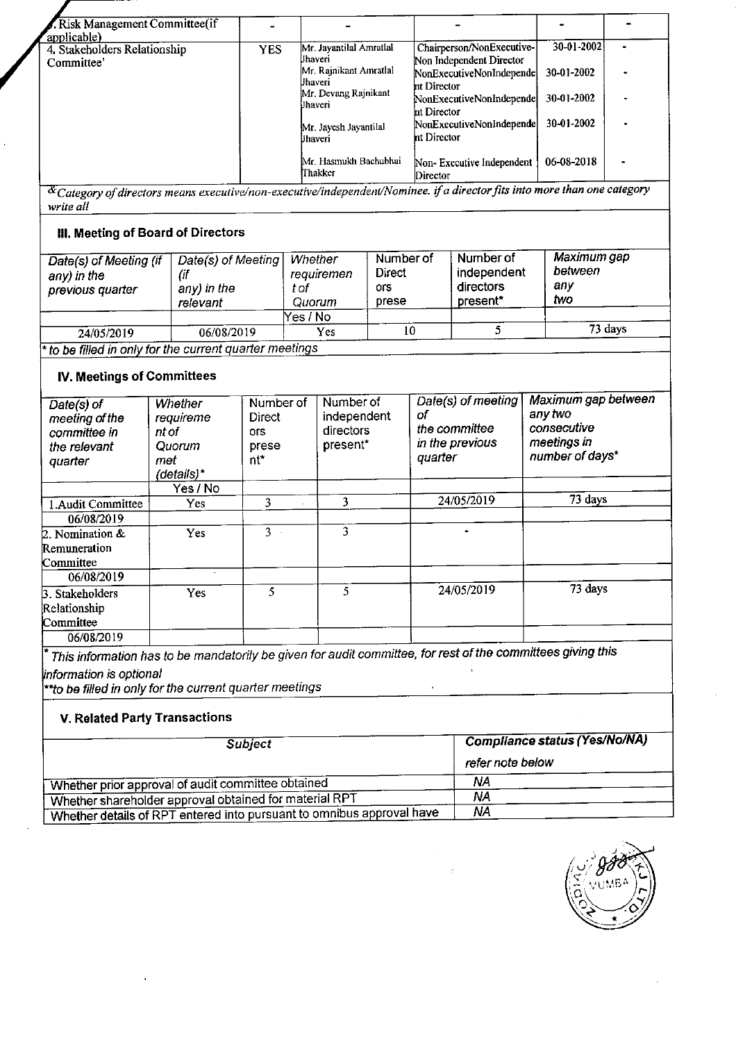| Risk Management Committee(if                                                                                                                  |            |                                                                                                                                                        |                                                                                                                                                                                        |                                                      |  |
|-----------------------------------------------------------------------------------------------------------------------------------------------|------------|--------------------------------------------------------------------------------------------------------------------------------------------------------|----------------------------------------------------------------------------------------------------------------------------------------------------------------------------------------|------------------------------------------------------|--|
| applicable)<br>4. Stakeholders Relationship<br>Committee'                                                                                     | <b>YES</b> | Mr. Javantilal Amratlal<br>lIhaveri<br>Mr. Rainikant Amratlal<br><b>Uhaveri</b><br>Mr. Devang Rajnikant<br>Uhaveri<br>Mr. Javesh Javantilal<br>Uhaveri | Chairperson/NonExecutive-<br>Non Independent Director<br>NonExecutiveNonIndepende<br>nt Director<br>NonExecutiveNonIndepende<br>ht Director<br>NonExecutiveNonIndepende<br>nt Director | 30-01-2002<br>30-01-2002<br>30-01-2002<br>30-01-2002 |  |
|                                                                                                                                               |            | Mr. Hasmukh Bachubhai<br>∏hakker                                                                                                                       | Non-Executive Independent<br>Director                                                                                                                                                  | 06-08-2018                                           |  |
| $\alpha$ Category of directors means executive/non-executive/independent/Nominee. if a director fits into more than one category<br>write all |            |                                                                                                                                                        |                                                                                                                                                                                        |                                                      |  |
| <b>III. Meeting of Board of Directors</b>                                                                                                     |            |                                                                                                                                                        |                                                                                                                                                                                        |                                                      |  |

| Date(s) of Meeting (if<br>any) in the<br>previous quarter | Date(s) of Meeting<br>any) in the<br>relevant | Whether<br>requiremen<br>t of<br>Quorum | Number of<br>Direct<br>ors<br>prese | Number of<br>independent<br>directors<br>present* | Maximum gap<br>between<br>any<br>two |
|-----------------------------------------------------------|-----------------------------------------------|-----------------------------------------|-------------------------------------|---------------------------------------------------|--------------------------------------|
|                                                           |                                               | Yes / No                                |                                     |                                                   |                                      |
| 24/05/2019                                                | 06/08/2019                                    | Yes                                     | 10                                  |                                                   | 73 days                              |

to be filled in only for the current quarter meetings

#### IV. Meetings of Committees

| Date(s) of<br>meeting of the<br>committee in<br>the relevant<br>quarter | Whether<br>requireme<br>nt of<br>Quorum<br>met<br>(details)* | Number of<br>Direct<br>ors.<br>prese<br>nt* | Number of<br>independent<br>directors<br>present* | Date(s) of meeting<br>оf<br>the committee<br>in the previous<br>quarter | Maximum gap between<br>any two<br>consecutive<br>meetings in<br>number of days* |
|-------------------------------------------------------------------------|--------------------------------------------------------------|---------------------------------------------|---------------------------------------------------|-------------------------------------------------------------------------|---------------------------------------------------------------------------------|
|                                                                         | Yes / No                                                     |                                             |                                                   |                                                                         |                                                                                 |
| 1. Audit Committee                                                      | <b>Yes</b>                                                   | 3                                           | 3                                                 | 24/05/2019                                                              | 73 days                                                                         |
| 06/08/2019                                                              |                                                              |                                             |                                                   |                                                                         |                                                                                 |
| 2. Nomination &                                                         | Yes                                                          | 3                                           | 3                                                 | $\blacksquare$                                                          |                                                                                 |
| Remuneration                                                            |                                                              |                                             |                                                   |                                                                         |                                                                                 |
| Committee                                                               |                                                              |                                             |                                                   |                                                                         |                                                                                 |
| 06/08/2019                                                              |                                                              |                                             |                                                   |                                                                         |                                                                                 |
| 3. Stakeholders<br>Relationship                                         | Yes                                                          | 5                                           | 5                                                 | 24/05/2019                                                              | 73 days                                                                         |
| Committee                                                               |                                                              |                                             |                                                   |                                                                         |                                                                                 |
| 06/08/2019                                                              |                                                              |                                             |                                                   |                                                                         |                                                                                 |

\* This information has to be mandatorjly be given for audit committee, for rest of the committees giving this  $\bar{\Delta}$ 

information is optional<br>\*\*to be filled in only for the current quarter meetings

# V. Related Party Transactions

| <b>Subject</b>                                                        | Compliance status (Yes/No/NA) |
|-----------------------------------------------------------------------|-------------------------------|
|                                                                       | refer note below              |
| Whether prior approval of audit committee obtained                    | ΝA                            |
| Whether shareholder approval obtained for material RPT                | NA                            |
| Whether details of RPT entered into pursuant to omnibus approval have | ΝA                            |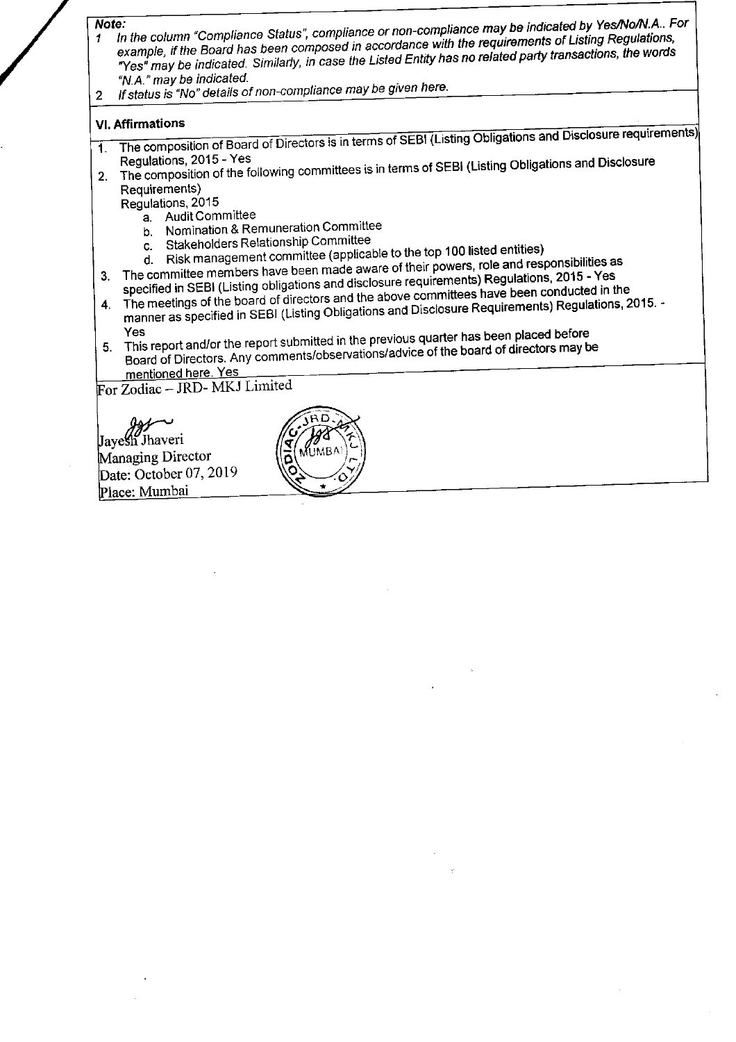#### Note:

- In the column "Compliance Status", compliance or non-compliance may be indicated by Yes/No/N.A.. For example, if the Board has been composed in accordance with the requirements of Listing Regulations,  $\blacktriangleleft$ "Yes" may be indicated. Similarly, in case the Listed Entity has no related party transactions, the words "N.A." may be indicated.
- If status is "No" details of non-compliance may be given here.  $\overline{2}$

### **VI. Affirmations**

- The composition of Board of Directors is in terms of SEBI (Listing Obligations and Disclosure requirements)  $\mathbf{1}$ Regulations, 2015 - Yes
- The composition of the following committees is in terms of SEBI (Listing Obligations and Disclosure  $2.$ Requirements)

Regulations, 2015

- a. Audit Committee
- b. Nomination & Remuneration Committee
- c. Stakeholders Relationship Committee
- d. Risk management committee (applicable to the top 100 listed entities)
- 3. The committee members have been made aware of their powers, role and responsibilities as
- specified in SEBI (Listing obligations and disclosure requirements) Regulations, 2015 Yes The meetings of the board of directors and the above committees have been conducted in the
- manner as specified in SEBI (Listing Obligations and Disclosure Requirements) Regulations, 2015. -4.
- This report and/or the report submitted in the previous quarter has been placed before Board of Directors. Any comments/observations/advice of the board of directors may be  $5.$
- mentioned here. Yes For Zodiac - JRD-MKJ Limited

Jayesh Jhaveri Managing Director Date: October 07, 2019 Place: Mumbai

F